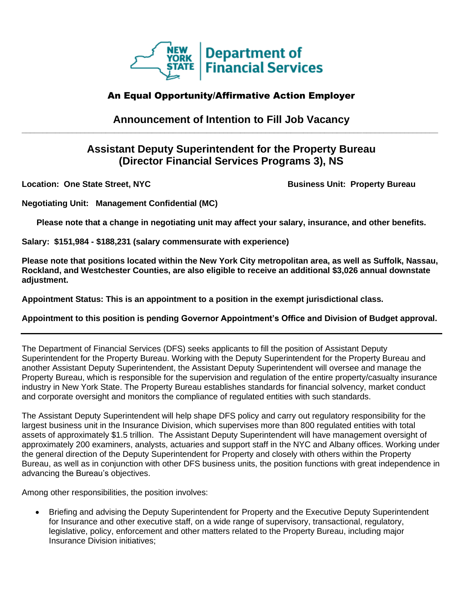

# An Equal Opportunity/Affirmative Action Employer

## **Announcement of Intention to Fill Job Vacancy \_\_\_\_\_\_\_\_\_\_\_\_\_\_\_\_\_\_\_\_\_\_\_\_\_\_\_\_\_\_\_\_\_\_\_\_\_\_\_\_\_\_\_\_\_\_\_\_\_\_\_\_\_\_\_\_\_\_\_\_\_\_\_\_\_\_\_\_\_\_\_\_\_\_\_\_\_\_\_\_\_\_\_\_\_\_\_\_\_\_\_\_\_\_\_\_\_\_\_**

# **Assistant Deputy Superintendent for the Property Bureau (Director Financial Services Programs 3), NS**

**Location: One State Street, NYC All research Business Unit: Property Bureau** 

**Negotiating Unit: Management Confidential (MC)**

**Please note that a change in negotiating unit may affect your salary, insurance, and other benefits.**

**Salary: \$151,984 - \$188,231 (salary commensurate with experience)**

**Please note that positions located within the New York City metropolitan area, as well as Suffolk, Nassau, Rockland, and Westchester Counties, are also eligible to receive an additional \$3,026 annual downstate adjustment.**

**Appointment Status: This is an appointment to a position in the exempt jurisdictional class.**

**Appointment to this position is pending Governor Appointment's Office and Division of Budget approval.**

The Department of Financial Services (DFS) seeks applicants to fill the position of Assistant Deputy Superintendent for the Property Bureau. Working with the Deputy Superintendent for the Property Bureau and another Assistant Deputy Superintendent, the Assistant Deputy Superintendent will oversee and manage the Property Bureau, which is responsible for the supervision and regulation of the entire property/casualty insurance industry in New York State. The Property Bureau establishes standards for financial solvency, market conduct and corporate oversight and monitors the compliance of regulated entities with such standards.

The Assistant Deputy Superintendent will help shape DFS policy and carry out regulatory responsibility for the largest business unit in the Insurance Division, which supervises more than 800 regulated entities with total assets of approximately \$1.5 trillion. The Assistant Deputy Superintendent will have management oversight of approximately 200 examiners, analysts, actuaries and support staff in the NYC and Albany offices. Working under the general direction of the Deputy Superintendent for Property and closely with others within the Property Bureau, as well as in conjunction with other DFS business units, the position functions with great independence in advancing the Bureau's objectives.

Among other responsibilities, the position involves:

• Briefing and advising the Deputy Superintendent for Property and the Executive Deputy Superintendent for Insurance and other executive staff, on a wide range of supervisory, transactional, regulatory, legislative, policy, enforcement and other matters related to the Property Bureau, including major Insurance Division initiatives;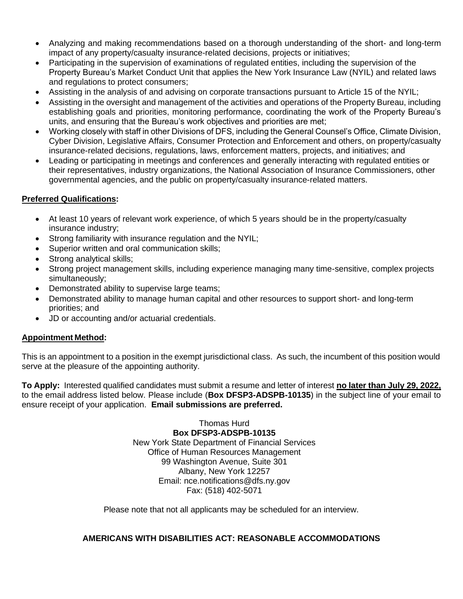- Analyzing and making recommendations based on a thorough understanding of the short- and long-term impact of any property/casualty insurance-related decisions, projects or initiatives;
- Participating in the supervision of examinations of regulated entities, including the supervision of the Property Bureau's Market Conduct Unit that applies the New York Insurance Law (NYIL) and related laws and regulations to protect consumers;
- Assisting in the analysis of and advising on corporate transactions pursuant to Article 15 of the NYIL;
- Assisting in the oversight and management of the activities and operations of the Property Bureau, including establishing goals and priorities, monitoring performance, coordinating the work of the Property Bureau's units, and ensuring that the Bureau's work objectives and priorities are met;
- Working closely with staff in other Divisions of DFS, including the General Counsel's Office, Climate Division, Cyber Division, Legislative Affairs, Consumer Protection and Enforcement and others, on property/casualty insurance-related decisions, regulations, laws, enforcement matters, projects, and initiatives; and
- Leading or participating in meetings and conferences and generally interacting with regulated entities or their representatives, industry organizations, the National Association of Insurance Commissioners, other governmental agencies, and the public on property/casualty insurance-related matters.

### **Preferred Qualifications:**

- At least 10 years of relevant work experience, of which 5 years should be in the property/casualty insurance industry;
- Strong familiarity with insurance regulation and the NYIL;
- Superior written and oral communication skills;
- Strong analytical skills;
- Strong project management skills, including experience managing many time-sensitive, complex projects simultaneously;
- Demonstrated ability to supervise large teams;
- Demonstrated ability to manage human capital and other resources to support short- and long-term priorities; and
- JD or accounting and/or actuarial credentials.

#### **Appointment Method:**

This is an appointment to a position in the exempt jurisdictional class. As such, the incumbent of this position would serve at the pleasure of the appointing authority.

**To Apply:** Interested qualified candidates must submit a resume and letter of interest **no later than July 29, 2022,** to the email address listed below. Please include (**Box DFSP3-ADSPB-10135**) in the subject line of your email to ensure receipt of your application. **Email submissions are preferred.** 

> Thomas Hurd **Box DFSP3-ADSPB-10135** New York State Department of Financial Services Office of Human Resources Management 99 Washington Avenue, Suite 301 Albany, New York 12257 Email: nce.notifications@dfs.ny.gov Fax: (518) 402-5071

Please note that not all applicants may be scheduled for an interview.

#### **AMERICANS WITH DISABILITIES ACT: REASONABLE ACCOMMODATIONS**